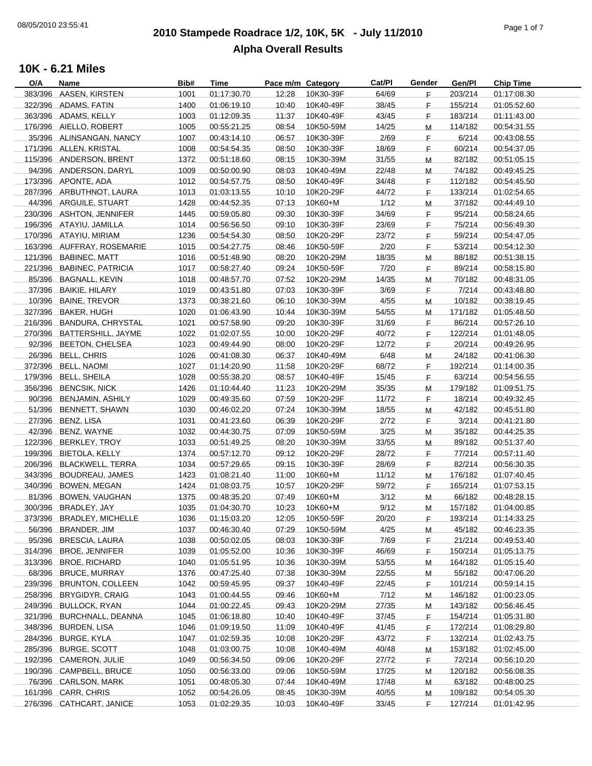# **2010 Stampede Roadrace 1/2, 10K, 5K - July 11/2010** 08/05/2010 23:55:41 Page 1 of 7 **Alpha Overall Results**

| O/A | Name                       | Bib# | Time        | Pace m/m Category |           | Cat/Pl | Gender | Gen/Pl  | <b>Chip Time</b> |
|-----|----------------------------|------|-------------|-------------------|-----------|--------|--------|---------|------------------|
|     | 383/396 AASEN, KIRSTEN     | 1001 | 01:17:30.70 | 12:28             | 10K30-39F | 64/69  | F.     | 203/214 | 01:17:08.30      |
|     | 322/396 ADAMS, FATIN       | 1400 | 01:06:19.10 | 10:40             | 10K40-49F | 38/45  | F.     | 155/214 | 01:05:52.60      |
|     | 363/396 ADAMS, KELLY       | 1003 | 01:12:09.35 | 11:37             | 10K40-49F | 43/45  | F.     | 183/214 | 01:11:43.00      |
|     | 176/396 AIELLO, ROBERT     | 1005 | 00:55:21.25 | 08:54             | 10K50-59M | 14/25  | M      | 114/182 | 00:54:31.55      |
|     | 35/396 ALINSANGAN, NANCY   | 1007 | 00:43:14.10 | 06:57             | 10K30-39F | 2/69   | F.     | 6/214   | 00:43:08.55      |
|     | 171/396 ALLEN, KRISTAL     | 1008 | 00:54:54.35 | 08:50             | 10K30-39F | 18/69  | F.     | 60/214  | 00:54:37.05      |
|     |                            |      |             |                   |           |        |        |         |                  |
|     | 115/396 ANDERSON, BRENT    | 1372 | 00:51:18.60 | 08:15             | 10K30-39M | 31/55  | M      | 82/182  | 00:51:05.15      |
|     | 94/396 ANDERSON, DARYL     | 1009 | 00:50:00.90 | 08:03             | 10K40-49M | 22/48  | м      | 74/182  | 00:49:45.25      |
|     | 173/396 APONTE, ADA        | 1012 | 00:54:57.75 | 08:50             | 10K40-49F | 34/48  | F.     | 112/182 | 00:54:45.50      |
|     | 287/396 ARBUTHNOT, LAURA   | 1013 | 01:03:13.55 | 10:10             | 10K20-29F | 44/72  | F.     | 133/214 | 01:02:54.65      |
|     | 44/396 ARGUILE, STUART     | 1428 | 00:44:52.35 | 07:13             | 10K60+M   | 1/12   | М      | 37/182  | 00:44:49.10      |
|     | 230/396 ASHTON, JENNIFER   | 1445 | 00:59:05.80 | 09:30             | 10K30-39F | 34/69  | F.     | 95/214  | 00:58:24.65      |
|     | 196/396 ATAYIU, JAMILLA    | 1014 | 00:56:56.50 | 09:10             | 10K30-39F | 23/69  | F.     | 75/214  | 00:56:49.30      |
|     | 170/396 ATAYIU, MIRIAM     | 1236 | 00:54:54.30 | 08:50             | 10K20-29F | 23/72  | F.     | 59/214  | 00:54:47.05      |
|     | 163/396 AUFFRAY, ROSEMARIE | 1015 | 00:54:27.75 | 08:46             | 10K50-59F | 2/20   | F.     | 53/214  | 00:54:12.30      |
|     |                            |      |             |                   |           |        |        |         |                  |
|     | 121/396 BABINEC, MATT      | 1016 | 00:51:48.90 | 08:20             | 10K20-29M | 18/35  | M      | 88/182  | 00:51:38.15      |
|     | 221/396 BABINEC, PATRICIA  | 1017 | 00:58:27.40 | 09:24             | 10K50-59F | 7/20   | F.     | 89/214  | 00:58:15.80      |
|     | 85/396 BAGNALL, KEVIN      | 1018 | 00:48:57.70 | 07:52             | 10K20-29M | 14/35  | м      | 70/182  | 00:48:31.05      |
|     | 37/396 BAIKIE, HILARY      | 1019 | 00:43:51.80 | 07:03             | 10K30-39F | 3/69   | F.     | 7/214   | 00:43:48.80      |
|     | 10/396 BAINE, TREVOR       | 1373 | 00:38:21.60 | 06:10             | 10K30-39M | 4/55   | M      | 10/182  | 00:38:19.45      |
|     | 327/396 BAKER, HUGH        | 1020 | 01:06:43.90 | 10:44             | 10K30-39M | 54/55  | M      | 171/182 | 01:05:48.50      |
|     | 216/396 BANDURA, CHRYSTAL  | 1021 | 00:57:58.90 | 09:20             | 10K30-39F | 31/69  | F.     | 86/214  | 00:57:26.10      |
|     | 270/396 BATTERSHILL, JAYME | 1022 | 01:02:07.55 | 10:00             | 10K20-29F | 40/72  | F.     | 122/214 | 01:01:48.05      |
|     | 92/396 BEETON, CHELSEA     | 1023 | 00:49:44.90 | 08:00             | 10K20-29F | 12/72  | F      | 20/214  | 00:49:26.95      |
|     | 26/396 BELL, CHRIS         | 1026 | 00:41:08.30 | 06:37             | 10K40-49M | 6/48   | M      | 24/182  | 00:41:06.30      |
|     |                            |      |             |                   |           |        |        |         |                  |
|     | 372/396 BELL, NAOMI        | 1027 | 01:14:20.90 | 11:58             | 10K20-29F | 68/72  | F.     | 192/214 | 01:14:00.35      |
|     | 179/396 BELL, SHEILA       | 1028 | 00:55:38.20 | 08:57             | 10K40-49F | 15/45  | F.     | 63/214  | 00:54:56.55      |
|     | 356/396 BENCSIK, NICK      | 1426 | 01:10:44.40 | 11:23             | 10K20-29M | 35/35  | M      | 179/182 | 01:09:51.75      |
|     | 90/396 BENJAMIN, ASHILY    | 1029 | 00:49:35.60 | 07:59             | 10K20-29F | 11/72  | F      | 18/214  | 00:49:32.45      |
|     | 51/396 BENNETT, SHAWN      | 1030 | 00:46:02.20 | 07:24             | 10K30-39M | 18/55  | M      | 42/182  | 00:45:51.80      |
|     | 27/396 BENZ, LISA          | 1031 | 00:41:23.60 | 06:39             | 10K20-29F | 2/72   | F      | 3/214   | 00:41:21.80      |
|     | 42/396 BENZ, WAYNE         | 1032 | 00:44:30.75 | 07:09             | 10K50-59M | 3/25   | M      | 35/182  | 00:44:25.35      |
|     | 122/396 BERKLEY, TROY      | 1033 | 00:51:49.25 | 08:20             | 10K30-39M | 33/55  | M      | 89/182  | 00:51:37.40      |
|     | 199/396 BIETOLA, KELLY     | 1374 | 00:57:12.70 | 09:12             | 10K20-29F | 28/72  | F.     | 77/214  | 00:57:11.40      |
|     | 206/396 BLACKWELL, TERRA   |      | 00:57:29.65 | 09:15             |           | 28/69  |        | 82/214  |                  |
|     |                            | 1034 |             |                   | 10K30-39F |        | F.     |         | 00:56:30.35      |
|     | 343/396 BOUDREAU, JAMES    | 1423 | 01:08:21.40 | 11:00             | 10K60+M   | 11/12  | M      | 176/182 | 01:07:40.45      |
|     | 340/396 BOWEN, MEGAN       | 1424 | 01:08:03.75 | 10:57             | 10K20-29F | 59/72  | F.     | 165/214 | 01:07:53.15      |
|     | 81/396 BOWEN, VAUGHAN      | 1375 | 00:48:35.20 | 07:49             | 10K60+M   | 3/12   | M      | 66/182  | 00:48:28.15      |
|     | 300/396 BRADLEY, JAY       | 1035 | 01:04:30.70 | 10:23             | 10K60+M   | 9/12   | M      | 157/182 | 01:04:00.85      |
|     | 373/396 BRADLEY, MICHELLE  | 1036 | 01:15:03.20 | 12:05             | 10K50-59F | 20/20  | F      | 193/214 | 01:14:33.25      |
|     | 56/396 BRANDER, JIM        | 1037 | 00:46:30.40 | 07:29             | 10K50-59M | 4/25   | M      | 45/182  | 00:46:23.35      |
|     | 95/396 BRESCIA, LAURA      | 1038 | 00:50:02.05 | 08:03             | 10K30-39F | 7/69   | F.     | 21/214  | 00:49:53.40      |
|     | 314/396 BROE, JENNIFER     | 1039 | 01:05:52.00 | 10:36             | 10K30-39F | 46/69  | F.     | 150/214 | 01:05:13.75      |
|     | 313/396 BROE, RICHARD      | 1040 | 01:05:51.95 | 10:36             | 10K30-39M | 53/55  |        | 164/182 | 01:05:15.40      |
|     |                            |      |             |                   |           |        | M      |         |                  |
|     | 68/396 BRUCE, MURRAY       | 1376 | 00:47:25.40 | 07:38             | 10K30-39M | 22/55  | M      | 55/182  | 00:47:06.20      |
|     | 239/396 BRUNTON, COLLEEN   | 1042 | 00:59:45.95 | 09:37             | 10K40-49F | 22/45  | F.     | 101/214 | 00:59:14.15      |
|     | 258/396 BRYGIDYR, CRAIG    | 1043 | 01:00:44.55 | 09:46             | 10K60+M   | 7/12   | М      | 146/182 | 01:00:23.05      |
|     | 249/396 BULLOCK, RYAN      | 1044 | 01:00:22.45 | 09:43             | 10K20-29M | 27/35  | M      | 143/182 | 00:56:46.45      |
|     | 321/396 BURCHNALL, DEANNA  | 1045 | 01:06:18.80 | 10:40             | 10K40-49F | 37/45  | F.     | 154/214 | 01:05:31.80      |
|     | 348/396 BURDEN, LISA       | 1046 | 01:09:19.50 | 11:09             | 10K40-49F | 41/45  | F.     | 172/214 | 01:08:29.80      |
|     | 284/396 BURGE, KYLA        | 1047 | 01:02:59.35 | 10:08             | 10K20-29F | 43/72  | F.     | 132/214 | 01:02:43.75      |
|     | 285/396 BURGE, SCOTT       | 1048 | 01:03:00.75 | 10:08             | 10K40-49M | 40/48  | M      | 153/182 | 01:02:45.00      |
|     | 192/396 CAMERON, JULIE     | 1049 | 00:56:34.50 | 09:06             | 10K20-29F | 27/72  | F.     | 72/214  | 00:56:10.20      |
|     | 190/396 CAMPBELL, BRUCE    | 1050 | 00:56:33.00 | 09:06             |           |        |        | 120/182 |                  |
|     |                            |      |             |                   | 10K50-59M | 17/25  | M      |         | 00:56:08.35      |
|     | 76/396 CARLSON, MARK       | 1051 | 00:48:05.30 | 07:44             | 10K40-49M | 17/48  | м      | 63/182  | 00:48:00.25      |
|     | 161/396 CARR, CHRIS        | 1052 | 00:54:26.05 | 08:45             | 10K30-39M | 40/55  | м      | 109/182 | 00:54:05.30      |
|     | 276/396 CATHCART, JANICE   | 1053 | 01:02:29.35 | 10:03             | 10K40-49F | 33/45  | F.     | 127/214 | 01:01:42.95      |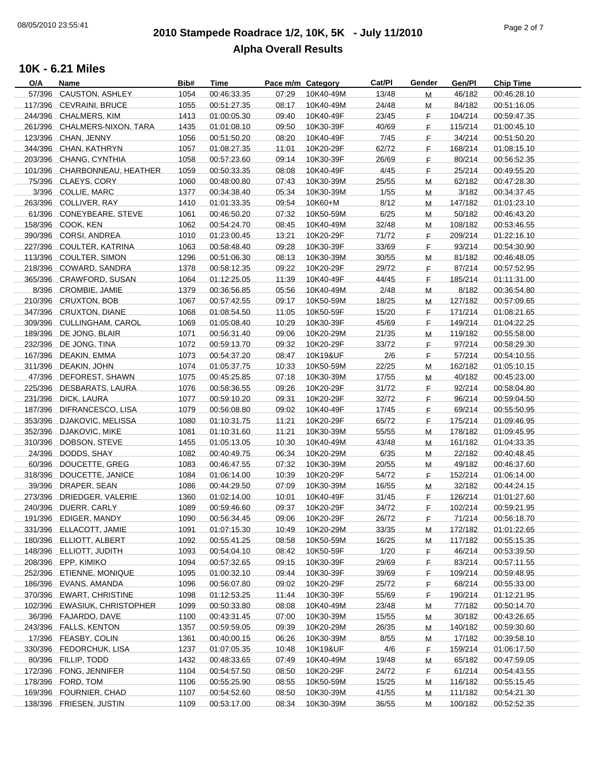# **2010 Stampede Roadrace 1/2, 10K, 5K - July 11/2010** 08/05/2010 23:55:41 Page 2 of 7 **Alpha Overall Results**

| O/A    | Name                         | Bib# | Time        | Pace m/m Category |           | Cat/PI | Gender | Gen/Pl  | <b>Chip Time</b> |
|--------|------------------------------|------|-------------|-------------------|-----------|--------|--------|---------|------------------|
| 57/396 | CAUSTON, ASHLEY              | 1054 | 00:46:33.35 | 07:29             | 10K40-49M | 13/48  | M      | 46/182  | 00:46:28.10      |
|        | 117/396 CEVRAINI, BRUCE      | 1055 | 00:51:27.35 | 08:17             | 10K40-49M | 24/48  | M      | 84/182  | 00:51:16.05      |
|        | 244/396 CHALMERS, KIM        | 1413 | 01:00:05.30 | 09:40             | 10K40-49F | 23/45  | F.     | 104/214 | 00:59:47.35      |
|        | 261/396 CHALMERS-NIXON, TARA | 1435 | 01:01:08.10 | 09:50             | 10K30-39F | 40/69  | F.     | 115/214 | 01:00:45.10      |
|        | 123/396 CHAN, JENNY          | 1056 | 00:51:50.20 | 08:20             | 10K40-49F | 7/45   | F.     | 34/214  | 00:51:50.20      |
|        | 344/396 CHAN, KATHRYN        | 1057 | 01:08:27.35 | 11:01             | 10K20-29F | 62/72  | F.     | 168/214 | 01:08:15.10      |
|        | 203/396 CHANG, CYNTHIA       | 1058 | 00:57:23.60 | 09:14             | 10K30-39F | 26/69  | F.     | 80/214  | 00:56:52.35      |
|        | 101/396 CHARBONNEAU, HEATHER | 1059 | 00:50:33.35 | 08:08             | 10K40-49F | 4/45   | F      | 25/214  | 00:49:55.20      |
|        | 75/396 CLAEYS, CORY          | 1060 | 00:48:00.80 | 07:43             | 10K30-39M | 25/55  | M      | 62/182  | 00:47:28.30      |
|        | 3/396 COLLIE, MARC           | 1377 | 00:34:38.40 | 05:34             | 10K30-39M | 1/55   | M      | 3/182   | 00:34:37.45      |
|        | 263/396 COLLIVER, RAY        | 1410 | 01:01:33.35 | 09:54             | 10K60+M   | 8/12   | M      | 147/182 | 01:01:23.10      |
|        | 61/396 CONEYBEARE, STEVE     | 1061 | 00:46:50.20 | 07:32             | 10K50-59M | 6/25   | M      | 50/182  | 00:46:43.20      |
|        | 158/396 COOK, KEN            | 1062 | 00:54:24.70 | 08:45             | 10K40-49M | 32/48  | M      | 108/182 | 00:53:46.55      |
|        | 390/396 CORSI, ANDREA        | 1010 | 01:23:00.45 | 13:21             | 10K20-29F | 71/72  | F.     | 209/214 | 01:22:16.10      |
|        | 227/396 COULTER, KATRINA     | 1063 | 00:58:48.40 | 09:28             | 10K30-39F | 33/69  | F.     | 93/214  | 00:54:30.90      |
|        |                              |      |             |                   |           |        |        |         |                  |
|        | 113/396 COULTER, SIMON       | 1296 | 00:51:06.30 | 08:13             | 10K30-39M | 30/55  | M      | 81/182  | 00:46:48.05      |
|        | 218/396 COWARD, SANDRA       | 1378 | 00:58:12.35 | 09:22             | 10K20-29F | 29/72  | E      | 87/214  | 00:57:52.95      |
|        | 365/396 CRAWFORD, SUSAN      | 1064 | 01:12:25.05 | 11:39             | 10K40-49F | 44/45  | E      | 185/214 | 01:11:31.00      |
|        | 8/396 CROMBIE, JAMIE         | 1379 | 00:36:56.85 | 05:56             | 10K40-49M | 2/48   | M      | 8/182   | 00:36:54.80      |
|        | 210/396 CRUXTON, BOB         | 1067 | 00:57:42.55 | 09:17             | 10K50-59M | 18/25  | M      | 127/182 | 00:57:09.65      |
|        | 347/396 CRUXTON, DIANE       | 1068 | 01:08:54.50 | 11:05             | 10K50-59F | 15/20  | F.     | 171/214 | 01:08:21.65      |
|        | 309/396 CULLINGHAM, CAROL    | 1069 | 01:05:08.40 | 10:29             | 10K30-39F | 45/69  | F.     | 149/214 | 01:04:22.25      |
|        | 189/396 DE JONG, BLAIR       | 1071 | 00:56:31.40 | 09:06             | 10K20-29M | 21/35  | M      | 119/182 | 00:55:58.00      |
|        | 232/396 DE JONG, TINA        | 1072 | 00:59:13.70 | 09:32             | 10K20-29F | 33/72  | F.     | 97/214  | 00:58:29.30      |
|        | 167/396 DEAKIN, EMMA         | 1073 | 00:54:37.20 | 08:47             | 10K19&UF  | 2/6    | F      | 57/214  | 00:54:10.55      |
|        | 311/396 DEAKIN, JOHN         | 1074 | 01:05:37.75 | 10:33             | 10K50-59M | 22/25  | M      | 162/182 | 01:05:10.15      |
|        | 47/396 DEFOREST, SHAWN       | 1075 | 00:45:25.85 | 07:18             | 10K30-39M | 17/55  | M      | 40/182  | 00:45:23.00      |
|        | 225/396 DESBARATS, LAURA     | 1076 | 00:58:36.55 | 09:26             | 10K20-29F | 31/72  | F.     | 92/214  | 00:58:04.80      |
|        | 231/396 DICK, LAURA          | 1077 | 00:59:10.20 | 09:31             | 10K20-29F | 32/72  | F.     | 96/214  | 00:59:04.50      |
|        | 187/396 DIFRANCESCO, LISA    | 1079 | 00:56:08.80 | 09:02             | 10K40-49F | 17/45  | F.     | 69/214  | 00:55:50.95      |
|        | 353/396 DJAKOVIC, MELISSA    | 1080 | 01:10:31.75 | 11:21             | 10K20-29F | 65/72  | F.     | 175/214 | 01:09:46.95      |
|        | 352/396 DJAKOVIC, MIKE       | 1081 | 01:10:31.60 | 11:21             | 10K30-39M | 55/55  | M      | 178/182 | 01:09:45.95      |
|        | 310/396 DOBSON, STEVE        | 1455 | 01:05:13.05 | 10:30             | 10K40-49M | 43/48  | M      | 161/182 | 01:04:33.35      |
|        | 24/396 DODDS, SHAY           | 1082 | 00:40:49.75 | 06:34             | 10K20-29M | 6/35   | M      | 22/182  | 00:40:48.45      |
|        | 60/396 DOUCETTE, GREG        | 1083 | 00:46:47.55 | 07:32             | 10K30-39M | 20/55  | M      | 49/182  | 00:46:37.60      |
|        | 318/396 DOUCETTE, JANICE     | 1084 | 01:06:14.00 | 10:39             | 10K20-29F | 54/72  | F.     | 152/214 | 01:06:14.00      |
|        | 39/396 DRAPER, SEAN          | 1086 | 00:44:29.50 | 07:09             | 10K30-39M | 16/55  | M      | 32/182  | 00:44:24.15      |
|        | 273/396 DRIEDGER, VALERIE    | 1360 | 01:02:14.00 | 10:01             | 10K40-49F | 31/45  | F.     | 126/214 | 01:01:27.60      |
|        | 240/396 DUERR, CARLY         | 1089 | 00:59:46.60 | 09:37             | 10K20-29F | 34/72  | F      | 102/214 | 00:59:21.95      |
|        | 191/396 EDIGER, MANDY        | 1090 | 00:56:34.45 | 09:06             | 10K20-29F | 26/72  | F.     | 71/214  | 00:56:18.70      |
|        | 331/396 ELLACOTT, JAMIE      | 1091 | 01:07:15.30 | 10:49             | 10K20-29M | 33/35  | M      | 172/182 | 01:01:22.65      |
|        | 180/396 ELLIOTT, ALBERT      | 1092 | 00:55:41.25 | 08:58             | 10K50-59M | 16/25  | M      | 117/182 | 00:55:15.35      |
|        | 148/396 ELLIOTT, JUDITH      | 1093 | 00:54:04.10 | 08:42             | 10K50-59F | 1/20   | F.     | 46/214  | 00:53:39.50      |
|        | 208/396 EPP, KIMIKO          | 1094 | 00:57:32.65 | 09:15             | 10K30-39F | 29/69  | F      | 83/214  | 00:57:11.55      |
|        | 252/396 ETIENNE, MONIQUE     |      | 01:00:32.10 |                   | 10K30-39F | 39/69  |        | 109/214 |                  |
|        |                              | 1095 |             | 09:44             |           |        | F.     |         | 00:59:48.95      |
|        | 186/396 EVANS, AMANDA        | 1096 | 00:56:07.80 | 09:02             | 10K20-29F | 25/72  | F      | 68/214  | 00:55:33.00      |
|        | 370/396 EWART, CHRISTINE     | 1098 | 01:12:53.25 | 11:44             | 10K30-39F | 55/69  | F.     | 190/214 | 01:12:21.95      |
|        | 102/396 EWASIUK, CHRISTOPHER | 1099 | 00:50:33.80 | 08:08             | 10K40-49M | 23/48  | M      | 77/182  | 00:50:14.70      |
|        | 36/396 FAJARDO, DAVE         | 1100 | 00:43:31.45 | 07:00             | 10K30-39M | 15/55  | M      | 30/182  | 00:43:26.65      |
|        | 243/396 FALLS, KENTON        | 1357 | 00:59:59.05 | 09:39             | 10K20-29M | 26/35  | M      | 140/182 | 00:59:30.60      |
|        | 17/396 FEASBY, COLIN         | 1361 | 00:40:00.15 | 06:26             | 10K30-39M | 8/55   | M      | 17/182  | 00:39:58.10      |
|        | 330/396 FEDORCHUK, LISA      | 1237 | 01:07:05.35 | 10:48             | 10K19&UF  | 4/6    | F.     | 159/214 | 01:06:17.50      |
|        | 80/396 FILLIP, TODD          | 1432 | 00:48:33.65 | 07:49             | 10K40-49M | 19/48  | M      | 65/182  | 00:47:59.05      |
|        | 172/396 FONG, JENNIFER       | 1104 | 00:54:57.50 | 08:50             | 10K20-29F | 24/72  | F      | 61/214  | 00:54:43.55      |
|        | 178/396 FORD, TOM            | 1106 | 00:55:25.90 | 08:55             | 10K50-59M | 15/25  | M      | 116/182 | 00:55:15.45      |
|        | 169/396 FOURNIER, CHAD       | 1107 | 00:54:52.60 | 08:50             | 10K30-39M | 41/55  | M      | 111/182 | 00:54:21.30      |
|        | 138/396 FRIESEN, JUSTIN      | 1109 | 00:53:17.00 | 08:34             | 10K30-39M | 36/55  | M      | 100/182 | 00:52:52.35      |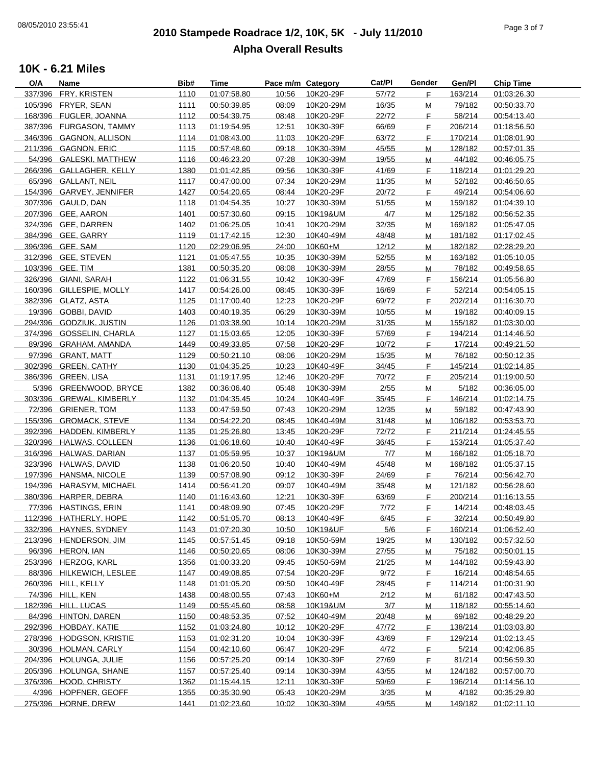# **2010 Stampede Roadrace 1/2, 10K, 5K - July 11/2010** 08/05/2010 23:55:41 Page 3 of 7 **Alpha Overall Results**

| O/A | Name                     | Bib# | <b>Time</b> | Pace m/m Category |           | Cat/Pl | Gender | Gen/Pl  | <b>Chip Time</b> |
|-----|--------------------------|------|-------------|-------------------|-----------|--------|--------|---------|------------------|
|     | 337/396 FRY, KRISTEN     | 1110 | 01:07:58.80 | 10:56             | 10K20-29F | 57/72  | F.     | 163/214 | 01:03:26.30      |
|     | 105/396 FRYER, SEAN      | 1111 | 00:50:39.85 | 08:09             | 10K20-29M | 16/35  | M      | 79/182  | 00:50:33.70      |
|     | 168/396 FUGLER, JOANNA   | 1112 | 00:54:39.75 | 08:48             | 10K20-29F | 22/72  | F.     | 58/214  | 00:54:13.40      |
|     | 387/396 FURGASON, TAMMY  | 1113 | 01:19:54.95 | 12:51             | 10K30-39F | 66/69  | F.     | 206/214 | 01:18:56.50      |
|     | 346/396 GAGNON, ALLISON  | 1114 | 01:08:43.00 | 11:03             | 10K20-29F | 63/72  | F.     | 170/214 | 01:08:01.90      |
|     | 211/396 GAGNON, ERIC     | 1115 | 00:57:48.60 | 09:18             | 10K30-39M | 45/55  | M      | 128/182 | 00:57:01.35      |
|     | 54/396 GALESKI, MATTHEW  | 1116 | 00:46:23.20 | 07:28             | 10K30-39M | 19/55  | M      | 44/182  | 00:46:05.75      |
|     | 266/396 GALLAGHER, KELLY | 1380 | 01:01:42.85 | 09:56             | 10K30-39F | 41/69  |        | 118/214 | 01:01:29.20      |
|     |                          |      |             |                   |           |        | F.     |         |                  |
|     | 65/396 GALLANT, NEIL     | 1117 | 00:47:00.00 | 07:34             | 10K20-29M | 11/35  | M      | 52/182  | 00:46:50.65      |
|     | 154/396 GARVEY, JENNIFER | 1427 | 00:54:20.65 | 08:44             | 10K20-29F | 20/72  | F.     | 49/214  | 00:54:06.60      |
|     | 307/396 GAULD, DAN       | 1118 | 01:04:54.35 | 10:27             | 10K30-39M | 51/55  | м      | 159/182 | 01:04:39.10      |
|     | 207/396 GEE, AARON       | 1401 | 00:57:30.60 | 09:15             | 10K19&UM  | 4/7    | М      | 125/182 | 00:56:52.35      |
|     | 324/396 GEE, DARREN      | 1402 | 01:06:25.05 | 10:41             | 10K20-29M | 32/35  | M      | 169/182 | 01:05:47.05      |
|     | 384/396 GEE, GARRY       | 1119 | 01:17:42.15 | 12:30             | 10K40-49M | 48/48  | M      | 181/182 | 01:17:02.45      |
|     | 396/396 GEE, SAM         | 1120 | 02:29:06.95 | 24:00             | 10K60+M   | 12/12  | M      | 182/182 | 02:28:29.20      |
|     | 312/396 GEE, STEVEN      | 1121 | 01:05:47.55 | 10:35             | 10K30-39M | 52/55  | M      | 163/182 | 01:05:10.05      |
|     | 103/396 GEE, TIM         | 1381 | 00:50:35.20 | 08:08             | 10K30-39M | 28/55  | M      | 78/182  | 00:49:58.65      |
|     | 326/396 GIANI, SARAH     | 1122 | 01:06:31.55 | 10:42             | 10K30-39F | 47/69  | F.     | 156/214 | 01:05:56.80      |
|     | 160/396 GILLESPIE, MOLLY | 1417 | 00:54:26.00 | 08:45             | 10K30-39F | 16/69  | F.     | 52/214  | 00:54:05.15      |
|     | 382/396 GLATZ, ASTA      | 1125 | 01:17:00.40 | 12:23             | 10K20-29F | 69/72  | F.     | 202/214 | 01:16:30.70      |
|     | 19/396 GOBBI, DAVID      | 1403 | 00:40:19.35 | 06:29             | 10K30-39M | 10/55  | M      | 19/182  | 00:40:09.15      |
|     | 294/396 GODZIUK, JUSTIN  | 1126 | 01:03:38.90 | 10:14             | 10K20-29M | 31/35  | M      | 155/182 | 01:03:30.00      |
|     | 374/396 GOSSELIN, CHARLA |      | 01:15:03.65 |                   |           |        |        |         |                  |
|     |                          | 1127 |             | 12:05             | 10K30-39F | 57/69  | F.     | 194/214 | 01:14:46.50      |
|     | 89/396 GRAHAM, AMANDA    | 1449 | 00:49:33.85 | 07:58             | 10K20-29F | 10/72  | F.     | 17/214  | 00:49:21.50      |
|     | 97/396 GRANT, MATT       | 1129 | 00:50:21.10 | 08:06             | 10K20-29M | 15/35  | м      | 76/182  | 00:50:12.35      |
|     | 302/396 GREEN, CATHY     | 1130 | 01:04:35.25 | 10:23             | 10K40-49F | 34/45  | F.     | 145/214 | 01:02:14.85      |
|     | 386/396 GREEN, LISA      | 1131 | 01:19:17.95 | 12:46             | 10K20-29F | 70/72  | F.     | 205/214 | 01:19:00.50      |
|     | 5/396 GREENWOOD, BRYCE   | 1382 | 00:36:06.40 | 05:48             | 10K30-39M | 2/55   | M      | 5/182   | 00:36:05.00      |
|     | 303/396 GREWAL, KIMBERLY | 1132 | 01:04:35.45 | 10:24             | 10K40-49F | 35/45  | F.     | 146/214 | 01:02:14.75      |
|     | 72/396 GRIENER, TOM      | 1133 | 00:47:59.50 | 07:43             | 10K20-29M | 12/35  | M      | 59/182  | 00:47:43.90      |
|     | 155/396 GROMACK, STEVE   | 1134 | 00:54:22.20 | 08:45             | 10K40-49M | 31/48  | M      | 106/182 | 00:53:53.70      |
|     | 392/396 HADDEN, KIMBERLY | 1135 | 01:25:26.80 | 13:45             | 10K20-29F | 72/72  | F      | 211/214 | 01:24:45.55      |
|     | 320/396 HALWAS, COLLEEN  | 1136 | 01:06:18.60 | 10:40             | 10K40-49F | 36/45  | F.     | 153/214 | 01:05:37.40      |
|     | 316/396 HALWAS, DARIAN   | 1137 | 01:05:59.95 | 10:37             | 10K19&UM  | 7/7    | M      | 166/182 | 01:05:18.70      |
|     | 323/396 HALWAS, DAVID    | 1138 | 01:06:20.50 | 10:40             | 10K40-49M | 45/48  | M      | 168/182 | 01:05:37.15      |
|     | 197/396 HANSMA, NICOLE   | 1139 | 00:57:08.90 | 09:12             | 10K30-39F | 24/69  | F.     | 76/214  | 00:56:42.70      |
|     | 194/396 HARASYM, MICHAEL | 1414 | 00:56:41.20 | 09:07             | 10K40-49M | 35/48  | M      | 121/182 | 00:56:28.60      |
|     | 380/396 HARPER, DEBRA    | 1140 | 01:16:43.60 | 12:21             | 10K30-39F | 63/69  | F.     | 200/214 | 01:16:13.55      |
|     | 77/396 HASTINGS, ERIN    | 1141 |             | 07:45             |           | 7/72   | F.     | 14/214  |                  |
|     |                          |      | 00:48:09.90 |                   | 10K20-29F |        |        |         | 00:48:03.45      |
|     | 112/396 HATHERLY, HOPE   | 1142 | 00:51:05.70 | 08:13             | 10K40-49F | 6/45   | F      | 32/214  | 00:50:49.80      |
|     | 332/396 HAYNES, SYDNEY   | 1143 | 01:07:20.30 | 10:50             | 10K19&UF  | 5/6    | F.     | 160/214 | 01:06:52.40      |
|     | 213/396 HENDERSON, JIM   | 1145 | 00:57:51.45 | 09:18             | 10K50-59M | 19/25  | M      | 130/182 | 00:57:32.50      |
|     | 96/396 HERON, IAN        | 1146 | 00:50:20.65 | 08:06             | 10K30-39M | 27/55  | м      | 75/182  | 00:50:01.15      |
|     | 253/396 HERZOG, KARL     | 1356 | 01:00:33.20 | 09:45             | 10K50-59M | 21/25  | M      | 144/182 | 00:59:43.80      |
|     | 88/396 HILKEWICH, LESLEE | 1147 | 00:49:08.85 | 07:54             | 10K20-29F | 9/72   | F.     | 16/214  | 00:48:54.65      |
|     | 260/396 HILL, KELLY      | 1148 | 01:01:05.20 | 09:50             | 10K40-49F | 28/45  | F.     | 114/214 | 01:00:31.90      |
|     | 74/396 HILL, KEN         | 1438 | 00:48:00.55 | 07:43             | 10K60+M   | 2/12   | M      | 61/182  | 00:47:43.50      |
|     | 182/396 HILL, LUCAS      | 1149 | 00:55:45.60 | 08:58             | 10K19&UM  | 3/7    | M      | 118/182 | 00:55:14.60      |
|     | 84/396 HINTON, DAREN     | 1150 | 00:48:53.35 | 07:52             | 10K40-49M | 20/48  | M      | 69/182  | 00:48:29.20      |
|     | 292/396 HOBDAY, KATIE    | 1152 | 01:03:24.80 | 10:12             | 10K20-29F | 47/72  | F.     | 138/214 | 01:03:03.80      |
|     | 278/396 HODGSON, KRISTIE | 1153 | 01:02:31.20 | 10:04             | 10K30-39F | 43/69  | F.     | 129/214 | 01:02:13.45      |
|     | 30/396 HOLMAN, CARLY     | 1154 | 00:42:10.60 | 06:47             | 10K20-29F | 4/72   | F.     | 5/214   | 00:42:06.85      |
|     | 204/396 HOLUNGA, JULIE   | 1156 | 00:57:25.20 | 09:14             | 10K30-39F | 27/69  | F.     | 81/214  | 00:56:59.30      |
|     | 205/396 HOLUNGA, SHANE   | 1157 | 00:57:25.40 | 09:14             | 10K30-39M | 43/55  |        | 124/182 | 00:57:00.70      |
|     | 376/396 HOOD, CHRISTY    |      | 01:15:44.15 |                   |           | 59/69  | M      |         |                  |
|     |                          | 1362 |             | 12:11             | 10K30-39F |        | F.     | 196/214 | 01:14:56.10      |
|     | 4/396 HOPFNER, GEOFF     | 1355 | 00:35:30.90 | 05:43             | 10K20-29M | 3/35   | M      | 4/182   | 00:35:29.80      |
|     | 275/396 HORNE, DREW      | 1441 | 01:02:23.60 | 10:02             | 10K30-39M | 49/55  | м      | 149/182 | 01:02:11.10      |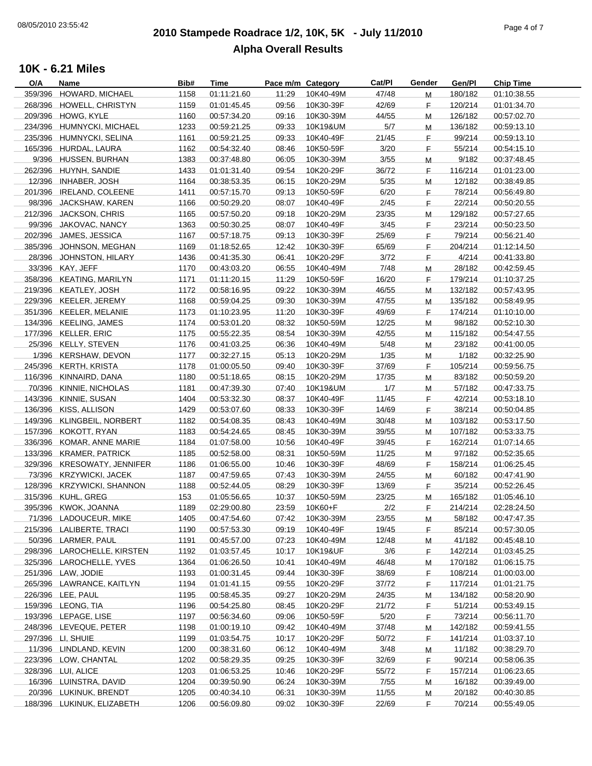# **2010 Stampede Roadrace 1/2, 10K, 5K - July 11/2010** 08/05/2010 23:55:42 Page 4 of 7 **Alpha Overall Results**

| O/A     | Name                        | Bib# | Time        | Pace m/m Category |           | Cat/Pl | Gender | Gen/Pl  | <b>Chip Time</b> |
|---------|-----------------------------|------|-------------|-------------------|-----------|--------|--------|---------|------------------|
| 359/396 | <b>HOWARD, MICHAEL</b>      | 1158 | 01:11:21.60 | 11:29             | 10K40-49M | 47/48  | M      | 180/182 | 01:10:38.55      |
|         | 268/396 HOWELL, CHRISTYN    | 1159 | 01:01:45.45 | 09:56             | 10K30-39F | 42/69  | F.     | 120/214 | 01:01:34.70      |
|         | 209/396 HOWG, KYLE          | 1160 | 00:57:34.20 | 09:16             | 10K30-39M | 44/55  | M      | 126/182 | 00:57:02.70      |
|         | 234/396 HUMNYCKI, MICHAEL   | 1233 | 00:59:21.25 | 09:33             | 10K19&UM  | 5/7    | м      | 136/182 | 00:59:13.10      |
|         | 235/396 HUMNYCKI, SELINA    | 1161 | 00:59:21.25 | 09:33             | 10K40-49F | 21/45  | F.     | 99/214  | 00:59:13.10      |
|         | 165/396 HURDAL, LAURA       | 1162 | 00:54:32.40 | 08:46             | 10K50-59F | 3/20   | F.     | 55/214  |                  |
|         |                             |      |             |                   |           |        |        |         | 00:54:15.10      |
|         | 9/396 HUSSEN, BURHAN        | 1383 | 00:37:48.80 | 06:05             | 10K30-39M | 3/55   | M      | 9/182   | 00:37:48.45      |
|         | 262/396 HUYNH, SANDIE       | 1433 | 01:01:31.40 | 09:54             | 10K20-29F | 36/72  | F.     | 116/214 | 01:01:23.00      |
|         | 12/396 INHABER, JOSH        | 1164 | 00:38:53.35 | 06:15             | 10K20-29M | 5/35   | М      | 12/182  | 00:38:49.85      |
|         | 201/396 IRELAND, COLEENE    | 1411 | 00:57:15.70 | 09:13             | 10K50-59F | 6/20   | F.     | 78/214  | 00:56:49.80      |
|         | 98/396 JACKSHAW, KAREN      | 1166 | 00:50:29.20 | 08:07             | 10K40-49F | 2/45   | F.     | 22/214  | 00:50:20.55      |
|         | 212/396 JACKSON, CHRIS      | 1165 | 00:57:50.20 | 09:18             | 10K20-29M | 23/35  | Μ      | 129/182 | 00:57:27.65      |
|         | 99/396 JAKOVAC, NANCY       | 1363 | 00:50:30.25 | 08:07             | 10K40-49F | 3/45   | F.     | 23/214  | 00:50:23.50      |
|         | 202/396 JAMES, JESSICA      | 1167 | 00:57:18.75 | 09:13             | 10K30-39F | 25/69  | F.     | 79/214  | 00:56:21.40      |
|         | 385/396 JOHNSON, MEGHAN     | 1169 | 01:18:52.65 | 12:42             | 10K30-39F | 65/69  | F.     | 204/214 | 01:12:14.50      |
|         | 28/396 JOHNSTON, HILARY     | 1436 | 00:41:35.30 | 06:41             | 10K20-29F | 3/72   | F.     | 4/214   | 00:41:33.80      |
|         |                             |      |             |                   |           |        |        |         |                  |
|         | 33/396 KAY, JEFF            | 1170 | 00:43:03.20 | 06:55             | 10K40-49M | 7/48   | м      | 28/182  | 00:42:59.45      |
|         | 358/396 KEATING, MARILYN    | 1171 | 01:11:20.15 | 11:29             | 10K50-59F | 16/20  | F.     | 179/214 | 01:10:37.25      |
|         | 219/396 KEATLEY, JOSH       | 1172 | 00:58:16.95 | 09:22             | 10K30-39M | 46/55  | M      | 132/182 | 00:57:43.95      |
|         | 229/396 KEELER, JEREMY      | 1168 | 00:59:04.25 | 09:30             | 10K30-39M | 47/55  | M      | 135/182 | 00:58:49.95      |
|         | 351/396 KEELER, MELANIE     | 1173 | 01:10:23.95 | 11:20             | 10K30-39F | 49/69  | F.     | 174/214 | 01:10:10.00      |
|         | 134/396 KEELING, JAMES      | 1174 | 00:53:01.20 | 08:32             | 10K50-59M | 12/25  | M      | 98/182  | 00:52:10.30      |
|         | 177/396 KELLER, ERIC        | 1175 | 00:55:22.35 | 08:54             | 10K30-39M | 42/55  | M      | 115/182 | 00:54:47.55      |
|         | 25/396 KELLY, STEVEN        | 1176 | 00:41:03.25 | 06:36             | 10K40-49M | 5/48   | м      | 23/182  | 00:41:00.05      |
|         | 1/396 KERSHAW, DEVON        | 1177 | 00:32:27.15 | 05:13             | 10K20-29M | 1/35   | м      | 1/182   | 00:32:25.90      |
|         | 245/396 KERTH, KRISTA       | 1178 | 01:00:05.50 | 09:40             | 10K30-39F | 37/69  |        | 105/214 | 00:59:56.75      |
|         |                             |      |             |                   |           |        | F.     |         |                  |
|         | 116/396 KINNAIRD, DANA      | 1180 | 00:51:18.65 | 08:15             | 10K20-29M | 17/35  | M      | 83/182  | 00:50:59.20      |
|         | 70/396 KINNIE, NICHOLAS     | 1181 | 00:47:39.30 | 07:40             | 10K19&UM  | 1/7    | м      | 57/182  | 00:47:33.75      |
|         | 143/396 KINNIE, SUSAN       | 1404 | 00:53:32.30 | 08:37             | 10K40-49F | 11/45  | F.     | 42/214  | 00:53:18.10      |
|         | 136/396 KISS, ALLISON       | 1429 | 00:53:07.60 | 08:33             | 10K30-39F | 14/69  | F.     | 38/214  | 00:50:04.85      |
|         | 149/396 KLINGBEIL, NORBERT  | 1182 | 00:54:08.35 | 08:43             | 10K40-49M | 30/48  | M      | 103/182 | 00:53:17.50      |
|         | 157/396 KOKOTT, RYAN        | 1183 | 00:54:24.65 | 08:45             | 10K30-39M | 39/55  | M      | 107/182 | 00:53:33.75      |
|         | 336/396 KOMAR, ANNE MARIE   | 1184 | 01:07:58.00 | 10:56             | 10K40-49F | 39/45  | F.     | 162/214 | 01:07:14.65      |
|         | 133/396 KRAMER, PATRICK     | 1185 | 00:52:58.00 | 08:31             | 10K50-59M | 11/25  | М      | 97/182  | 00:52:35.65      |
|         | 329/396 KRESOWATY, JENNIFER | 1186 | 01:06:55.00 | 10:46             | 10K30-39F | 48/69  | E      | 158/214 | 01:06:25.45      |
|         |                             |      |             |                   |           |        |        |         |                  |
|         | 73/396 KRZYWICKI, JACEK     | 1187 | 00:47:59.65 | 07:43             | 10K30-39M | 24/55  | M      | 60/182  | 00:47:41.90      |
|         | 128/396 KRZYWICKI, SHANNON  | 1188 | 00:52:44.05 | 08:29             | 10K30-39F | 13/69  | F.     | 35/214  | 00:52:26.45      |
|         | 315/396 KUHL, GREG          | 153  | 01:05:56.65 | 10:37             | 10K50-59M | 23/25  | M      | 165/182 | 01:05:46.10      |
|         | 395/396 KWOK, JOANNA        | 1189 | 02:29:00.80 | 23:59             | 10K60+F   | 2/2    | F.     | 214/214 | 02:28:24.50      |
|         | 71/396 LADOUCEUR, MIKE      | 1405 | 00:47:54.60 | 07:42             | 10K30-39M | 23/55  | M      | 58/182  | 00:47:47.35      |
|         | 215/396 LALIBERTE, TRACI    | 1190 | 00:57:53.30 | 09:19             | 10K40-49F | 19/45  | F.     | 85/214  | 00:57:30.05      |
|         | 50/396 LARMER, PAUL         | 1191 | 00:45:57.00 | 07:23             | 10K40-49M | 12/48  | М      | 41/182  | 00:45:48.10      |
|         | 298/396 LAROCHELLE, KIRSTEN | 1192 | 01:03:57.45 | 10:17             | 10K19&UF  | 3/6    | F.     | 142/214 | 01:03:45.25      |
|         | 325/396 LAROCHELLE, YVES    | 1364 | 01:06:26.50 | 10:41             | 10K40-49M | 46/48  | M      | 170/182 | 01:06:15.75      |
|         | 251/396 LAW, JODIE          | 1193 | 01:00:31.45 | 09:44             | 10K30-39F | 38/69  | F      | 108/214 | 01:00:03.00      |
|         | 265/396 LAWRANCE, KAITLYN   | 1194 | 01:01:41.15 | 09:55             | 10K20-29F | 37/72  | F.     | 117/214 | 01:01:21.75      |
|         |                             |      |             |                   |           |        |        |         |                  |
|         | 226/396 LEE, PAUL           | 1195 | 00:58:45.35 | 09:27             | 10K20-29M | 24/35  | M      | 134/182 | 00:58:20.90      |
|         | 159/396 LEONG, TIA          | 1196 | 00:54:25.80 | 08:45             | 10K20-29F | 21/72  | F.     | 51/214  | 00:53:49.15      |
|         | 193/396 LEPAGE, LISE        | 1197 | 00:56:34.60 | 09:06             | 10K50-59F | 5/20   | F.     | 73/214  | 00:56:11.70      |
|         | 248/396 LEVEQUE, PETER      | 1198 | 01:00:19.10 | 09:42             | 10K40-49M | 37/48  | м      | 142/182 | 00:59:41.55      |
|         | 297/396 LI, SHUIE           | 1199 | 01:03:54.75 | 10:17             | 10K20-29F | 50/72  | F.     | 141/214 | 01:03:37.10      |
|         | 11/396 LINDLAND, KEVIN      | 1200 | 00:38:31.60 | 06:12             | 10K40-49M | 3/48   | Μ      | 11/182  | 00:38:29.70      |
|         | 223/396 LOW, CHANTAL        | 1202 | 00:58:29.35 | 09:25             | 10K30-39F | 32/69  | F.     | 90/214  | 00:58:06.35      |
|         | 328/396 LUI, ALICE          | 1203 | 01:06:53.25 | 10:46             | 10K20-29F | 55/72  | F.     | 157/214 | 01:06:23.65      |
|         | 16/396 LUINSTRA, DAVID      | 1204 | 00:39:50.90 | 06:24             | 10K30-39M | 7/55   | M      | 16/182  | 00:39:49.00      |
|         | 20/396 LUKINUK, BRENDT      |      | 00:40:34.10 | 06:31             |           |        |        | 20/182  | 00:40:30.85      |
|         |                             | 1205 |             |                   | 10K30-39M | 11/55  | M      |         |                  |
|         | 188/396 LUKINUK, ELIZABETH  | 1206 | 00:56:09.80 | 09:02             | 10K30-39F | 22/69  | F.     | 70/214  | 00:55:49.05      |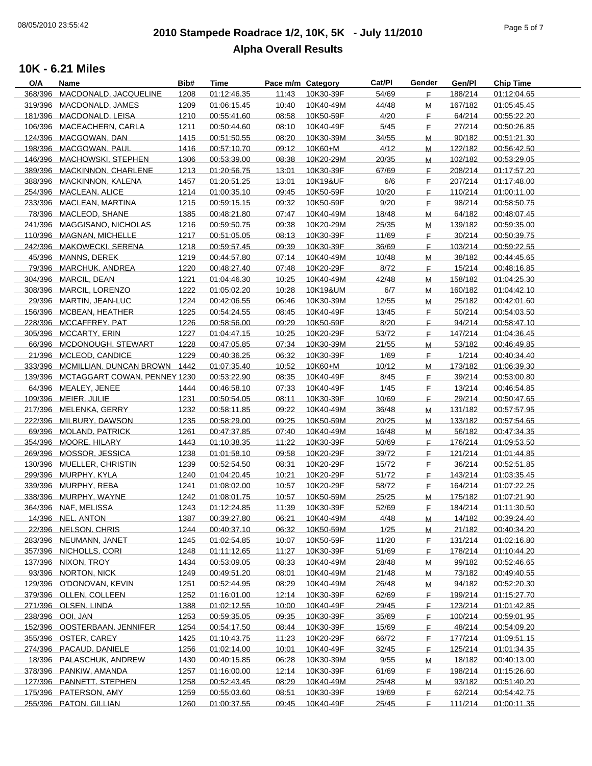# **2010 Stampede Roadrace 1/2, 10K, 5K - July 11/2010** 08/05/2010 23:55:42 Page 5 of 7 **Alpha Overall Results**

| O/A     | Name                                 | Bib# | Time        | Pace m/m Category |           | Cat/Pl | Gender | Gen/Pl  | <b>Chip Time</b> |
|---------|--------------------------------------|------|-------------|-------------------|-----------|--------|--------|---------|------------------|
| 368/396 | MACDONALD, JACQUELINE                | 1208 | 01:12:46.35 | 11:43             | 10K30-39F | 54/69  | F.     | 188/214 | 01:12:04.65      |
| 319/396 | MACDONALD, JAMES                     | 1209 | 01:06:15.45 | 10:40             | 10K40-49M | 44/48  | Μ      | 167/182 | 01:05:45.45      |
|         | 181/396 MACDONALD, LEISA             | 1210 | 00:55:41.60 | 08:58             | 10K50-59F | 4/20   | F.     | 64/214  | 00:55:22.20      |
|         | 106/396 MACEACHERN, CARLA            | 1211 | 00:50:44.60 | 08:10             | 10K40-49F | $5/45$ | F      | 27/214  | 00:50:26.85      |
|         | 124/396 MACGOWAN, DAN                | 1415 | 00:51:50.55 | 08:20             | 10K30-39M | 34/55  | M      | 90/182  | 00:51:21.30      |
|         | 198/396 MACGOWAN, PAUL               | 1416 | 00:57:10.70 | 09:12             | 10K60+M   | 4/12   | M      | 122/182 | 00:56:42.50      |
|         | 146/396 MACHOWSKI, STEPHEN           | 1306 | 00:53:39.00 | 08:38             | 10K20-29M | 20/35  | M      | 102/182 | 00:53:29.05      |
| 389/396 |                                      | 1213 | 01:20:56.75 | 13:01             | 10K30-39F | 67/69  |        | 208/214 |                  |
|         | MACKINNON, CHARLENE                  |      |             |                   |           |        | F.     |         | 01:17:57.20      |
| 388/396 | MACKINNON, KALENA                    | 1457 | 01:20:51.25 | 13:01             | 10K19&UF  | 6/6    | E      | 207/214 | 01:17:48.00      |
|         | 254/396 MACLEAN, ALICE               | 1214 | 01:00:35.10 | 09:45             | 10K50-59F | 10/20  | F.     | 110/214 | 01:00:11.00      |
|         | 233/396 MACLEAN, MARTINA             | 1215 | 00:59:15.15 | 09:32             | 10K50-59F | 9/20   | F.     | 98/214  | 00:58:50.75      |
|         | 78/396 MACLEOD, SHANE                | 1385 | 00:48:21.80 | 07:47             | 10K40-49M | 18/48  | M      | 64/182  | 00:48:07.45      |
| 241/396 | MAGGISANO, NICHOLAS                  | 1216 | 00:59:50.75 | 09:38             | 10K20-29M | 25/35  | M      | 139/182 | 00:59:35.00      |
|         | 110/396 MAGNAN, MICHELLE             | 1217 | 00:51:05.05 | 08:13             | 10K30-39F | 11/69  | E      | 30/214  | 00:50:39.75      |
|         | 242/396 MAKOWECKI, SERENA            | 1218 | 00:59:57.45 | 09:39             | 10K30-39F | 36/69  | F.     | 103/214 | 00:59:22.55      |
|         | 45/396 MANNS, DEREK                  | 1219 | 00:44:57.80 | 07:14             | 10K40-49M | 10/48  | M      | 38/182  | 00:44:45.65      |
| 79/396  | MARCHUK, ANDREA                      | 1220 | 00:48:27.40 | 07:48             | 10K20-29F | 8/72   | F.     | 15/214  | 00:48:16.85      |
|         | 304/396 MARCIL, DEAN                 | 1221 | 01:04:46.30 | 10:25             | 10K40-49M | 42/48  | М      | 158/182 | 01:04:25.30      |
|         | 308/396 MARCIL, LORENZO              | 1222 | 01:05:02.20 | 10:28             | 10K19&UM  | 6/7    | M      | 160/182 | 01:04:42.10      |
|         | 29/396 MARTIN, JEAN-LUC              | 1224 | 00:42:06.55 | 06:46             | 10K30-39M | 12/55  | M      | 25/182  | 00:42:01.60      |
|         | 156/396 MCBEAN, HEATHER              | 1225 | 00:54:24.55 | 08:45             | 10K40-49F | 13/45  | F      | 50/214  | 00:54:03.50      |
|         | 228/396 MCCAFFREY, PAT               | 1226 | 00:58:56.00 | 09:29             | 10K50-59F | 8/20   | E      | 94/214  | 00:58:47.10      |
|         | 305/396 MCCARTY, ERIN                |      |             |                   |           |        |        |         |                  |
|         |                                      | 1227 | 01:04:47.15 | 10:25             | 10K20-29F | 53/72  | F      | 147/214 | 01:04:36.45      |
|         | 66/396 MCDONOUGH, STEWART            | 1228 | 00:47:05.85 | 07:34             | 10K30-39M | 21/55  | M      | 53/182  | 00:46:49.85      |
| 21/396  | MCLEOD, CANDICE                      | 1229 | 00:40:36.25 | 06:32             | 10K30-39F | 1/69   | F.     | 1/214   | 00:40:34.40      |
|         | 333/396 MCMILLIAN, DUNCAN BROWN 1442 |      | 01:07:35.40 | 10:52             | 10K60+M   | 10/12  | М      | 173/182 | 01:06:39.30      |
|         | 139/396 MCTAGGART COWAN, PENNEY 1230 |      | 00:53:22.90 | 08:35             | 10K40-49F | 8/45   | F.     | 39/214  | 00:53:00.80      |
|         | 64/396 MEALEY, JENEE                 | 1444 | 00:46:58.10 | 07:33             | 10K40-49F | 1/45   | F      | 13/214  | 00:46:54.85      |
|         | 109/396 MEIER, JULIE                 | 1231 | 00:50:54.05 | 08:11             | 10K30-39F | 10/69  | F      | 29/214  | 00:50:47.65      |
|         | 217/396 MELENKA, GERRY               | 1232 | 00:58:11.85 | 09:22             | 10K40-49M | 36/48  | M      | 131/182 | 00:57:57.95      |
|         | 222/396 MILBURY, DAWSON              | 1235 | 00:58:29.00 | 09:25             | 10K50-59M | 20/25  | M      | 133/182 | 00:57:54.65      |
|         | 69/396 MOLAND, PATRICK               | 1261 | 00:47:37.85 | 07:40             | 10K40-49M | 16/48  | M      | 56/182  | 00:47:34.35      |
| 354/396 | MOORE, HILARY                        | 1443 | 01:10:38.35 | 11:22             | 10K30-39F | 50/69  | F.     | 176/214 | 01:09:53.50      |
|         | 269/396 MOSSOR, JESSICA              | 1238 | 01:01:58.10 | 09:58             | 10K20-29F | 39/72  | F.     | 121/214 | 01:01:44.85      |
|         | 130/396 MUELLER, CHRISTIN            | 1239 | 00:52:54.50 | 08:31             | 10K20-29F | 15/72  | F.     | 36/214  | 00:52:51.85      |
|         | 299/396 MURPHY, KYLA                 | 1240 | 01:04:20.45 | 10:21             | 10K20-29F | 51/72  | F      | 143/214 | 01:03:35.45      |
|         | 339/396 MURPHY, REBA                 | 1241 | 01:08:02.00 | 10:57             | 10K20-29F | 58/72  | F      | 164/214 | 01:07:22.25      |
|         | 338/396 MURPHY, WAYNE                | 1242 | 01:08:01.75 | 10:57             |           | 25/25  |        | 175/182 | 01:07:21.90      |
|         |                                      |      |             |                   | 10K50-59M |        | M      |         |                  |
|         | 364/396 NAF, MELISSA                 | 1243 | 01:12:24.85 | 11:39             | 10K30-39F | 52/69  | F.     | 184/214 | 01:11:30.50      |
|         | 14/396 NEL, ANTON                    | 1387 | 00:39:27.80 | 06:21             | 10K40-49M | 4/48   | M      | 14/182  | 00:39:24.40      |
|         | 22/396 NELSON, CHRIS                 | 1244 | 00:40:37.10 | 06:32             | 10K50-59M | 1/25   | M      | 21/182  | 00:40:34.20      |
|         | 283/396 NEUMANN, JANET               | 1245 | 01:02:54.85 | 10:07             | 10K50-59F | 11/20  | F      | 131/214 | 01:02:16.80      |
|         | 357/396 NICHOLLS, CORI               | 1248 | 01:11:12.65 | 11:27             | 10K30-39F | 51/69  | E      | 178/214 | 01:10:44.20      |
|         | 137/396 NIXON, TROY                  | 1434 | 00:53:09.05 | 08:33             | 10K40-49M | 28/48  | M      | 99/182  | 00:52:46.65      |
|         | 93/396 NORTON, NICK                  | 1249 | 00:49:51.20 | 08:01             | 10K40-49M | 21/48  | M      | 73/182  | 00:49:40.55      |
|         | 129/396 O'DONOVAN, KEVIN             | 1251 | 00:52:44.95 | 08:29             | 10K40-49M | 26/48  | M      | 94/182  | 00:52:20.30      |
|         | 379/396 OLLEN, COLLEEN               | 1252 | 01:16:01.00 | 12:14             | 10K30-39F | 62/69  | F.     | 199/214 | 01:15:27.70      |
|         | 271/396 OLSEN, LINDA                 | 1388 | 01:02:12.55 | 10:00             | 10K40-49F | 29/45  | F      | 123/214 | 01:01:42.85      |
|         | 238/396 OOI, JAN                     | 1253 | 00:59:35.05 | 09:35             | 10K30-39F | 35/69  | F      | 100/214 | 00:59:01.95      |
|         | 152/396 OOSTERBAAN, JENNIFER         | 1254 | 00:54:17.50 | 08:44             | 10K30-39F | 15/69  | F      | 48/214  | 00:54:09.20      |
|         | 355/396 OSTER, CAREY                 | 1425 | 01:10:43.75 | 11:23             | 10K20-29F | 66/72  | F      | 177/214 | 01:09:51.15      |
|         | 274/396 PACAUD, DANIELE              | 1256 | 01:02:14.00 | 10:01             | 10K40-49F | 32/45  | F      | 125/214 | 01:01:34.35      |
|         | 18/396 PALASCHUK, ANDREW             | 1430 | 00:40:15.85 | 06:28             | 10K30-39M | 9/55   |        | 18/182  | 00:40:13.00      |
|         |                                      |      |             |                   |           |        | M      |         |                  |
|         | 378/396 PANKIW, AMANDA               | 1257 | 01:16:00.00 | 12:14             | 10K30-39F | 61/69  | F      | 198/214 | 01:15:26.60      |
|         | 127/396 PANNETT, STEPHEN             | 1258 | 00:52:43.45 | 08:29             | 10K40-49M | 25/48  | M      | 93/182  | 00:51:40.20      |
|         | 175/396 PATERSON, AMY                | 1259 | 00:55:03.60 | 08:51             | 10K30-39F | 19/69  | F.     | 62/214  | 00:54:42.75      |
|         | 255/396 PATON, GILLIAN               | 1260 | 01:00:37.55 | 09:45             | 10K40-49F | 25/45  | E      | 111/214 | 01:00:11.35      |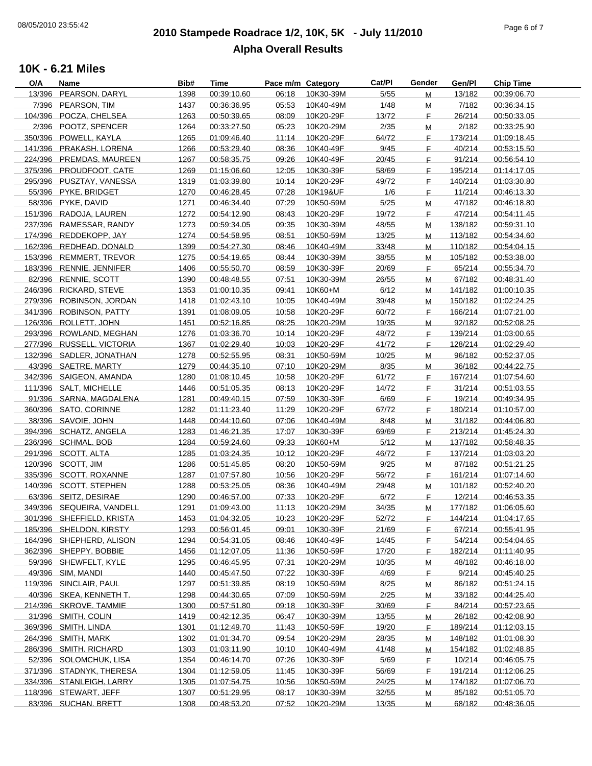# **2010 Stampede Roadrace 1/2, 10K, 5K - July 11/2010** 08/05/2010 23:55:42 Page 6 of 7 **Alpha Overall Results**

| O/A    | Name                      | Bib# | Time        | Pace m/m Category |           | Cat/Pl | Gender | Gen/Pl  | <b>Chip Time</b> |
|--------|---------------------------|------|-------------|-------------------|-----------|--------|--------|---------|------------------|
| 13/396 | PEARSON, DARYL            | 1398 | 00:39:10.60 | 06:18             | 10K30-39M | 5/55   | M      | 13/182  | 00:39:06.70      |
|        | 7/396 PEARSON, TIM        | 1437 | 00:36:36.95 | 05:53             | 10K40-49M | 1/48   | М      | 7/182   | 00:36:34.15      |
|        | 104/396 POCZA, CHELSEA    | 1263 | 00:50:39.65 | 08:09             | 10K20-29F | 13/72  | F.     | 26/214  | 00:50:33.05      |
|        | 2/396 POOTZ, SPENCER      | 1264 | 00:33:27.50 | 05:23             | 10K20-29M | 2/35   | Μ      | 2/182   | 00:33:25.90      |
|        | 350/396 POWELL, KAYLA     | 1265 | 01:09:46.40 | 11:14             | 10K20-29F | 64/72  | F.     | 173/214 | 01:09:18.45      |
|        | 141/396 PRAKASH, LORENA   | 1266 | 00:53:29.40 | 08:36             | 10K40-49F | 9/45   | F.     | 40/214  | 00:53:15.50      |
|        | 224/396 PREMDAS, MAUREEN  | 1267 | 00:58:35.75 | 09:26             | 10K40-49F | 20/45  | F.     | 91/214  | 00:56:54.10      |
|        | 375/396 PROUDFOOT, CATE   | 1269 | 01:15:06.60 | 12:05             | 10K30-39F | 58/69  | F.     | 195/214 |                  |
|        |                           |      |             |                   |           |        |        |         | 01:14:17.05      |
|        | 295/396 PUSZTAY, VANESSA  | 1319 | 01:03:39.80 | 10:14             | 10K20-29F | 49/72  | F.     | 140/214 | 01:03:30.80      |
|        | 55/396 PYKE, BRIDGET      | 1270 | 00:46:28.45 | 07:28             | 10K19&UF  | 1/6    | F.     | 11/214  | 00:46:13.30      |
|        | 58/396 PYKE, DAVID        | 1271 | 00:46:34.40 | 07:29             | 10K50-59M | 5/25   | М      | 47/182  | 00:46:18.80      |
|        | 151/396 RADOJA, LAUREN    | 1272 | 00:54:12.90 | 08:43             | 10K20-29F | 19/72  | F.     | 47/214  | 00:54:11.45      |
|        | 237/396 RAMESSAR, RANDY   | 1273 | 00:59:34.05 | 09:35             | 10K30-39M | 48/55  | M      | 138/182 | 00:59:31.10      |
|        | 174/396 REDDEKOPP, JAY    | 1274 | 00:54:58.95 | 08:51             | 10K50-59M | 13/25  | M      | 113/182 | 00:54:34.60      |
|        | 162/396 REDHEAD, DONALD   | 1399 | 00:54:27.30 | 08:46             | 10K40-49M | 33/48  | M      | 110/182 | 00:54:04.15      |
|        | 153/396 REMMERT, TREVOR   | 1275 | 00:54:19.65 | 08:44             | 10K30-39M | 38/55  | м      | 105/182 | 00:53:38.00      |
|        | 183/396 RENNIE, JENNIFER  | 1406 | 00:55:50.70 | 08:59             | 10K30-39F | 20/69  | F.     | 65/214  | 00:55:34.70      |
|        | 82/396 RENNIE, SCOTT      | 1390 | 00:48:48.55 | 07:51             | 10K30-39M | 26/55  | М      | 67/182  | 00:48:31.40      |
|        | 246/396 RICKARD, STEVE    | 1353 | 01:00:10.35 | 09:41             | 10K60+M   | 6/12   | М      | 141/182 | 01:00:10.35      |
|        | 279/396 ROBINSON, JORDAN  | 1418 | 01:02:43.10 | 10:05             | 10K40-49M | 39/48  | Μ      | 150/182 | 01:02:24.25      |
|        | 341/396 ROBINSON, PATTY   | 1391 | 01:08:09.05 | 10:58             | 10K20-29F | 60/72  | F.     | 166/214 | 01:07:21.00      |
|        | 126/396 ROLLETT, JOHN     | 1451 | 00:52:16.85 | 08:25             | 10K20-29M | 19/35  |        | 92/182  |                  |
|        |                           |      |             |                   |           |        | M      |         | 00:52:08.25      |
|        | 293/396 ROWLAND, MEGHAN   | 1276 | 01:03:36.70 | 10:14             | 10K20-29F | 48/72  | F.     | 139/214 | 01:03:00.65      |
|        | 277/396 RUSSELL, VICTORIA | 1367 | 01:02:29.40 | 10:03             | 10K20-29F | 41/72  | F.     | 128/214 | 01:02:29.40      |
|        | 132/396 SADLER, JONATHAN  | 1278 | 00:52:55.95 | 08:31             | 10K50-59M | 10/25  | м      | 96/182  | 00:52:37.05      |
|        | 43/396 SAETRE, MARTY      | 1279 | 00:44:35.10 | 07:10             | 10K20-29M | 8/35   | м      | 36/182  | 00:44:22.75      |
|        | 342/396 SAIGEON, AMANDA   | 1280 | 01:08:10.45 | 10:58             | 10K20-29F | 61/72  | F.     | 167/214 | 01:07:54.60      |
|        | 111/396 SALT, MICHELLE    | 1446 | 00:51:05.35 | 08:13             | 10K20-29F | 14/72  | F.     | 31/214  | 00:51:03.55      |
|        | 91/396 SARNA, MAGDALENA   | 1281 | 00:49:40.15 | 07:59             | 10K30-39F | 6/69   | F.     | 19/214  | 00:49:34.95      |
|        | 360/396 SATO, CORINNE     | 1282 | 01:11:23.40 | 11:29             | 10K20-29F | 67/72  | F.     | 180/214 | 01:10:57.00      |
|        | 38/396 SAVOIE, JOHN       | 1448 | 00:44:10.60 | 07:06             | 10K40-49M | 8/48   | M      | 31/182  | 00:44:06.80      |
|        | 394/396 SCHATZ, ANGELA    | 1283 | 01:46:21.35 | 17:07             | 10K30-39F | 69/69  | F.     | 213/214 | 01:45:24.30      |
|        | 236/396 SCHMAL, BOB       | 1284 | 00:59:24.60 | 09:33             | 10K60+M   | 5/12   | М      | 137/182 | 00:58:48.35      |
|        | 291/396 SCOTT, ALTA       | 1285 | 01:03:24.35 | 10:12             | 10K20-29F | 46/72  | F.     | 137/214 | 01:03:03.20      |
|        | 120/396 SCOTT, JIM        | 1286 | 00:51:45.85 | 08:20             | 10K50-59M | 9/25   | M      | 87/182  | 00:51:21.25      |
|        | 335/396 SCOTT, ROXANNE    | 1287 | 01:07:57.80 | 10:56             | 10K20-29F | 56/72  | F.     | 161/214 | 01:07:14.60      |
|        | 140/396 SCOTT, STEPHEN    | 1288 | 00:53:25.05 | 08:36             | 10K40-49M | 29/48  | M      | 101/182 | 00:52:40.20      |
|        | 63/396 SEITZ, DESIRAE     | 1290 | 00:46:57.00 | 07:33             | 10K20-29F | 6/72   | F.     | 12/214  | 00:46:53.35      |
|        |                           |      |             |                   |           |        |        |         |                  |
|        | 349/396 SEQUEIRA, VANDELL | 1291 | 01:09:43.00 | 11:13             | 10K20-29M | 34/35  | M      | 177/182 | 01:06:05.60      |
|        | 301/396 SHEFFIELD, KRISTA | 1453 | 01:04:32.05 | 10:23             | 10K20-29F | 52/72  | F      | 144/214 | 01:04:17.65      |
|        | 185/396 SHELDON, KIRSTY   | 1293 | 00:56:01.45 | 09:01             | 10K30-39F | 21/69  | E.     | 67/214  | 00:55:41.95      |
|        | 164/396 SHEPHERD, ALISON  | 1294 | 00:54:31.05 | 08:46             | 10K40-49F | 14/45  | F.     | 54/214  | 00:54:04.65      |
|        | 362/396 SHEPPY, BOBBIE    | 1456 | 01:12:07.05 | 11:36             | 10K50-59F | 17/20  | F.     | 182/214 | 01:11:40.95      |
|        | 59/396 SHEWFELT, KYLE     | 1295 | 00:46:45.95 | 07:31             | 10K20-29M | 10/35  | Μ      | 48/182  | 00:46:18.00      |
|        | 49/396 SIM, MANDI         | 1440 | 00:45:47.50 | 07:22             | 10K30-39F | 4/69   | F.     | 9/214   | 00:45:40.25      |
|        | 119/396 SINCLAIR, PAUL    | 1297 | 00:51:39.85 | 08:19             | 10K50-59M | 8/25   | M      | 86/182  | 00:51:24.15      |
|        | 40/396 SKEA, KENNETH T.   | 1298 | 00:44:30.65 | 07:09             | 10K50-59M | 2/25   | Μ      | 33/182  | 00:44:25.40      |
|        | 214/396 SKROVE, TAMMIE    | 1300 | 00:57:51.80 | 09:18             | 10K30-39F | 30/69  | F.     | 84/214  | 00:57:23.65      |
|        | 31/396 SMITH, COLIN       | 1419 | 00:42:12.35 | 06:47             | 10K30-39M | 13/55  | Μ      | 26/182  | 00:42:08.90      |
|        | 369/396 SMITH, LINDA      | 1301 | 01:12:49.70 | 11:43             | 10K50-59F | 19/20  | F.     | 189/214 | 01:12:03.15      |
|        | 264/396 SMITH, MARK       | 1302 | 01:01:34.70 | 09:54             | 10K20-29M | 28/35  | Μ      | 148/182 | 01:01:08.30      |
|        | 286/396 SMITH, RICHARD    | 1303 | 01:03:11.90 | 10:10             | 10K40-49M | 41/48  | Μ      | 154/182 | 01:02:48.85      |
|        | 52/396 SOLOMCHUK, LISA    | 1354 | 00:46:14.70 | 07:26             | 10K30-39F | 5/69   | F.     | 10/214  | 00:46:05.75      |
|        | 371/396 STADNYK, THERESA  | 1304 | 01:12:59.05 | 11:45             | 10K30-39F | 56/69  | F.     | 191/214 | 01:12:06.25      |
|        | 334/396 STANLEIGH, LARRY  | 1305 | 01:07:54.75 | 10:56             | 10K50-59M | 24/25  |        | 174/182 | 01:07:06.70      |
|        |                           |      |             |                   |           |        | м      |         |                  |
|        | 118/396 STEWART, JEFF     | 1307 | 00:51:29.95 | 08:17             | 10K30-39M | 32/55  | M      | 85/182  | 00:51:05.70      |
|        | 83/396 SUCHAN, BRETT      | 1308 | 00:48:53.20 | 07:52             | 10K20-29M | 13/35  | м      | 68/182  | 00:48:36.05      |